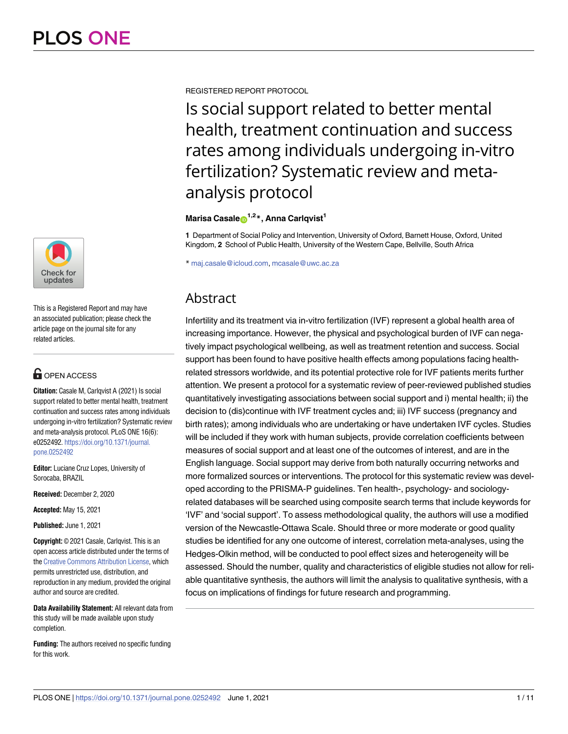

This is a Registered Report and may have an associated publication; please check the article page on the journal site for any related articles.

# **OPEN ACCESS**

**Citation:** Casale M, Carlqvist A (2021) Is social support related to better mental health, treatment continuation and success rates among individuals undergoing in-vitro fertilization? Systematic review and meta-analysis protocol. PLoS ONE 16(6): e0252492. [https://doi.org/10.1371/journal.](https://doi.org/10.1371/journal.pone.0252492) [pone.0252492](https://doi.org/10.1371/journal.pone.0252492)

**Editor:** Luciane Cruz Lopes, University of Sorocaba, BRAZIL

**Received:** December 2, 2020

**Accepted:** May 15, 2021

**Published:** June 1, 2021

**Copyright:** © 2021 Casale, Carlqvist. This is an open access article distributed under the terms of the Creative [Commons](http://creativecommons.org/licenses/by/4.0/) Attribution License, which permits unrestricted use, distribution, and reproduction in any medium, provided the original author and source are credited.

**Data Availability Statement:** All relevant data from this study will be made available upon study completion.

**Funding:** The authors received no specific funding for this work.

REGISTERED REPORT PROTOCOL

Is social support related to better mental health, treatment continuation and success rates among individuals undergoing in-vitro fertilization? Systematic review and metaanalysis protocol

**Marisa Casale**<sup>1,2</sup><sup>\*</sup>, Anna Carlqvist<sup>1</sup>

**1** Department of Social Policy and Intervention, University of Oxford, Barnett House, Oxford, United Kingdom, **2** School of Public Health, University of the Western Cape, Bellville, South Africa

\* maj.casale@icloud.com, mcasale@uwc.ac.za

# **Abstract**

Infertility and its treatment via in-vitro fertilization (IVF) represent a global health area of increasing importance. However, the physical and psychological burden of IVF can negatively impact psychological wellbeing, as well as treatment retention and success. Social support has been found to have positive health effects among populations facing healthrelated stressors worldwide, and its potential protective role for IVF patients merits further attention. We present a protocol for a systematic review of peer-reviewed published studies quantitatively investigating associations between social support and i) mental health; ii) the decision to (dis)continue with IVF treatment cycles and; iii) IVF success (pregnancy and birth rates); among individuals who are undertaking or have undertaken IVF cycles. Studies will be included if they work with human subjects, provide correlation coefficients between measures of social support and at least one of the outcomes of interest, and are in the English language. Social support may derive from both naturally occurring networks and more formalized sources or interventions. The protocol for this systematic review was developed according to the PRISMA-P guidelines. Ten health-, psychology- and sociologyrelated databases will be searched using composite search terms that include keywords for 'IVF' and 'social support'. To assess methodological quality, the authors will use a modified version of the Newcastle-Ottawa Scale. Should three or more moderate or good quality studies be identified for any one outcome of interest, correlation meta-analyses, using the Hedges-Olkin method, will be conducted to pool effect sizes and heterogeneity will be assessed. Should the number, quality and characteristics of eligible studies not allow for reliable quantitative synthesis, the authors will limit the analysis to qualitative synthesis, with a focus on implications of findings for future research and programming.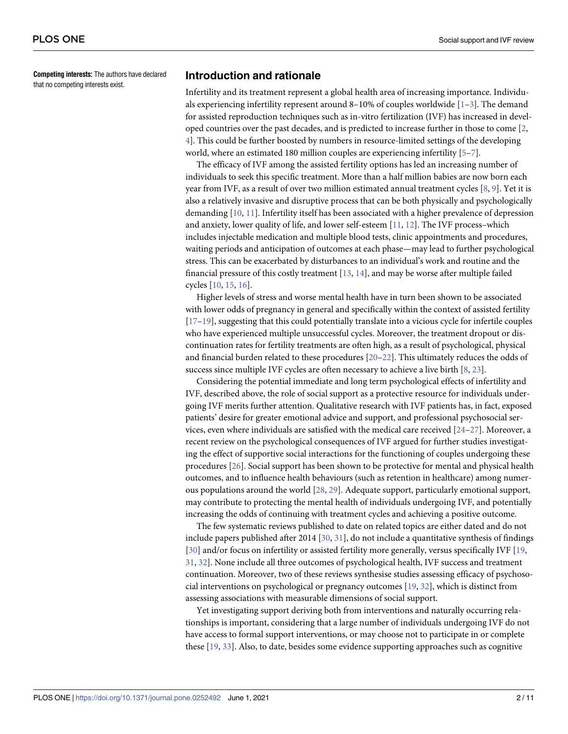<span id="page-1-0"></span>**Competing interests:** The authors have declared that no competing interests exist.

# **Introduction and rationale**

Infertility and its treatment represent a global health area of increasing importance. Individuals experiencing infertility represent around 8–10% of couples worldwide  $[1-3]$ . The demand for assisted reproduction techniques such as in-vitro fertilization (IVF) has increased in developed countries over the past decades, and is predicted to increase further in those to come [\[2,](#page-7-0) [4\]](#page-7-0). This could be further boosted by numbers in resource-limited settings of the developing world, where an estimated 180 million couples are experiencing infertility [\[5–7\]](#page-7-0).

The efficacy of IVF among the assisted fertility options has led an increasing number of individuals to seek this specific treatment. More than a half million babies are now born each year from IVF, as a result of over two million estimated annual treatment cycles [\[8,](#page-7-0) [9](#page-7-0)]. Yet it is also a relatively invasive and disruptive process that can be both physically and psychologically demanding [\[10,](#page-7-0) [11\]](#page-8-0). Infertility itself has been associated with a higher prevalence of depression and anxiety, lower quality of life, and lower self-esteem [\[11,](#page-8-0) [12\]](#page-8-0). The IVF process–which includes injectable medication and multiple blood tests, clinic appointments and procedures, waiting periods and anticipation of outcomes at each phase—may lead to further psychological stress. This can be exacerbated by disturbances to an individual's work and routine and the financial pressure of this costly treatment [\[13,](#page-8-0) [14\]](#page-8-0), and may be worse after multiple failed cycles [[10](#page-7-0), [15](#page-8-0), [16](#page-8-0)].

Higher levels of stress and worse mental health have in turn been shown to be associated with lower odds of pregnancy in general and specifically within the context of assisted fertility [\[17–19\]](#page-8-0), suggesting that this could potentially translate into a vicious cycle for infertile couples who have experienced multiple unsuccessful cycles. Moreover, the treatment dropout or discontinuation rates for fertility treatments are often high, as a result of psychological, physical and financial burden related to these procedures [[20–22\]](#page-8-0). This ultimately reduces the odds of success since multiple IVF cycles are often necessary to achieve a live birth [[8,](#page-7-0) [23\]](#page-8-0).

Considering the potential immediate and long term psychological effects of infertility and IVF, described above, the role of social support as a protective resource for individuals undergoing IVF merits further attention. Qualitative research with IVF patients has, in fact, exposed patients' desire for greater emotional advice and support, and professional psychosocial services, even where individuals are satisfied with the medical care received  $[24-27]$ . Moreover, a recent review on the psychological consequences of IVF argued for further studies investigating the effect of supportive social interactions for the functioning of couples undergoing these procedures [\[26\]](#page-8-0). Social support has been shown to be protective for mental and physical health outcomes, and to influence health behaviours (such as retention in healthcare) among numerous populations around the world [[28](#page-8-0), [29](#page-8-0)]. Adequate support, particularly emotional support, may contribute to protecting the mental health of individuals undergoing IVF, and potentially increasing the odds of continuing with treatment cycles and achieving a positive outcome.

The few systematic reviews published to date on related topics are either dated and do not include papers published after 2014 [[30,](#page-8-0) [31](#page-8-0)], do not include a quantitative synthesis of findings [\[30\]](#page-8-0) and/or focus on infertility or assisted fertility more generally, versus specifically IVF [\[19,](#page-8-0) [31,](#page-8-0) [32](#page-9-0)]. None include all three outcomes of psychological health, IVF success and treatment continuation. Moreover, two of these reviews synthesise studies assessing efficacy of psychosocial interventions on psychological or pregnancy outcomes [\[19,](#page-8-0) [32\]](#page-9-0), which is distinct from assessing associations with measurable dimensions of social support.

Yet investigating support deriving both from interventions and naturally occurring relationships is important, considering that a large number of individuals undergoing IVF do not have access to formal support interventions, or may choose not to participate in or complete these [[19](#page-8-0), [33](#page-9-0)]. Also, to date, besides some evidence supporting approaches such as cognitive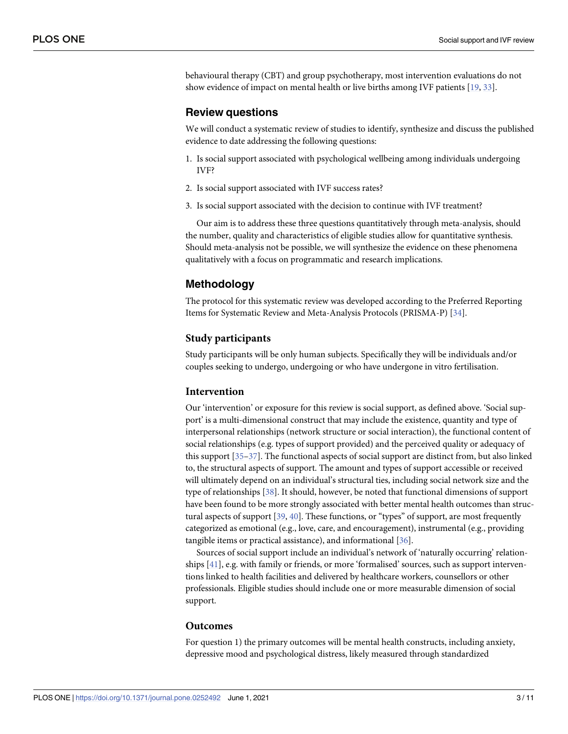<span id="page-2-0"></span>behavioural therapy (CBT) and group psychotherapy, most intervention evaluations do not show evidence of impact on mental health or live births among IVF patients [[19](#page-8-0), [33](#page-9-0)].

#### **Review questions**

We will conduct a systematic review of studies to identify, synthesize and discuss the published evidence to date addressing the following questions:

- 1. Is social support associated with psychological wellbeing among individuals undergoing IVF?
- 2. Is social support associated with IVF success rates?
- 3. Is social support associated with the decision to continue with IVF treatment?

Our aim is to address these three questions quantitatively through meta-analysis, should the number, quality and characteristics of eligible studies allow for quantitative synthesis. Should meta-analysis not be possible, we will synthesize the evidence on these phenomena qualitatively with a focus on programmatic and research implications.

# **Methodology**

The protocol for this systematic review was developed according to the Preferred Reporting Items for Systematic Review and Meta-Analysis Protocols (PRISMA-P) [\[34\]](#page-9-0).

## **Study participants**

Study participants will be only human subjects. Specifically they will be individuals and/or couples seeking to undergo, undergoing or who have undergone in vitro fertilisation.

#### **Intervention**

Our 'intervention' or exposure for this review is social support, as defined above. 'Social support' is a multi-dimensional construct that may include the existence, quantity and type of interpersonal relationships (network structure or social interaction), the functional content of social relationships (e.g. types of support provided) and the perceived quality or adequacy of this support [\[35–37\]](#page-9-0). The functional aspects of social support are distinct from, but also linked to, the structural aspects of support. The amount and types of support accessible or received will ultimately depend on an individual's structural ties, including social network size and the type of relationships [\[38\]](#page-9-0). It should, however, be noted that functional dimensions of support have been found to be more strongly associated with better mental health outcomes than structural aspects of support [\[39,](#page-9-0) [40\]](#page-9-0). These functions, or "types" of support, are most frequently categorized as emotional (e.g., love, care, and encouragement), instrumental (e.g., providing tangible items or practical assistance), and informational [[36](#page-9-0)].

Sources of social support include an individual's network of 'naturally occurring' relationships [[41](#page-9-0)], e.g. with family or friends, or more 'formalised' sources, such as support interventions linked to health facilities and delivered by healthcare workers, counsellors or other professionals. Eligible studies should include one or more measurable dimension of social support.

#### **Outcomes**

For question 1) the primary outcomes will be mental health constructs, including anxiety, depressive mood and psychological distress, likely measured through standardized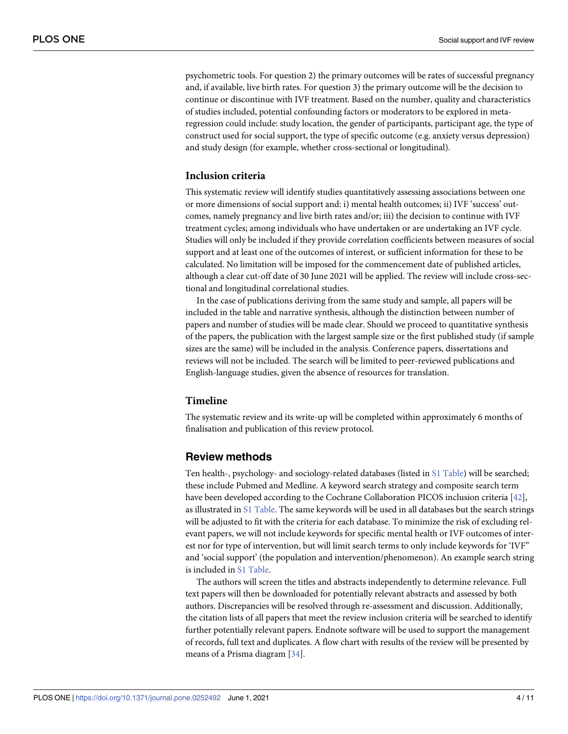<span id="page-3-0"></span>psychometric tools. For question 2) the primary outcomes will be rates of successful pregnancy and, if available, live birth rates. For question 3) the primary outcome will be the decision to continue or discontinue with IVF treatment. Based on the number, quality and characteristics of studies included, potential confounding factors or moderators to be explored in metaregression could include: study location, the gender of participants, participant age, the type of construct used for social support, the type of specific outcome (e.g. anxiety versus depression) and study design (for example, whether cross-sectional or longitudinal).

#### **Inclusion criteria**

This systematic review will identify studies quantitatively assessing associations between one or more dimensions of social support and: i) mental health outcomes; ii) IVF 'success' outcomes, namely pregnancy and live birth rates and/or; iii) the decision to continue with IVF treatment cycles; among individuals who have undertaken or are undertaking an IVF cycle. Studies will only be included if they provide correlation coefficients between measures of social support and at least one of the outcomes of interest, or sufficient information for these to be calculated. No limitation will be imposed for the commencement date of published articles, although a clear cut-off date of 30 June 2021 will be applied. The review will include cross-sectional and longitudinal correlational studies.

In the case of publications deriving from the same study and sample, all papers will be included in the table and narrative synthesis, although the distinction between number of papers and number of studies will be made clear. Should we proceed to quantitative synthesis of the papers, the publication with the largest sample size or the first published study (if sample sizes are the same) will be included in the analysis. Conference papers, dissertations and reviews will not be included. The search will be limited to peer-reviewed publications and English-language studies, given the absence of resources for translation.

## **Timeline**

The systematic review and its write-up will be completed within approximately 6 months of finalisation and publication of this review protocol.

# **Review methods**

Ten health-, psychology- and sociology-related databases (listed in S1 [Table\)](#page-7-0) will be searched; these include Pubmed and Medline. A keyword search strategy and composite search term have been developed according to the Cochrane Collaboration PICOS inclusion criteria [\[42\]](#page-9-0), as illustrated in S1 [Table](#page-7-0). The same keywords will be used in all databases but the search strings will be adjusted to fit with the criteria for each database. To minimize the risk of excluding relevant papers, we will not include keywords for specific mental health or IVF outcomes of interest nor for type of intervention, but will limit search terms to only include keywords for 'IVF" and 'social support' (the population and intervention/phenomenon). An example search string is included in S1 [Table.](#page-7-0)

The authors will screen the titles and abstracts independently to determine relevance. Full text papers will then be downloaded for potentially relevant abstracts and assessed by both authors. Discrepancies will be resolved through re-assessment and discussion. Additionally, the citation lists of all papers that meet the review inclusion criteria will be searched to identify further potentially relevant papers. Endnote software will be used to support the management of records, full text and duplicates. A flow chart with results of the review will be presented by means of a Prisma diagram [[34](#page-9-0)].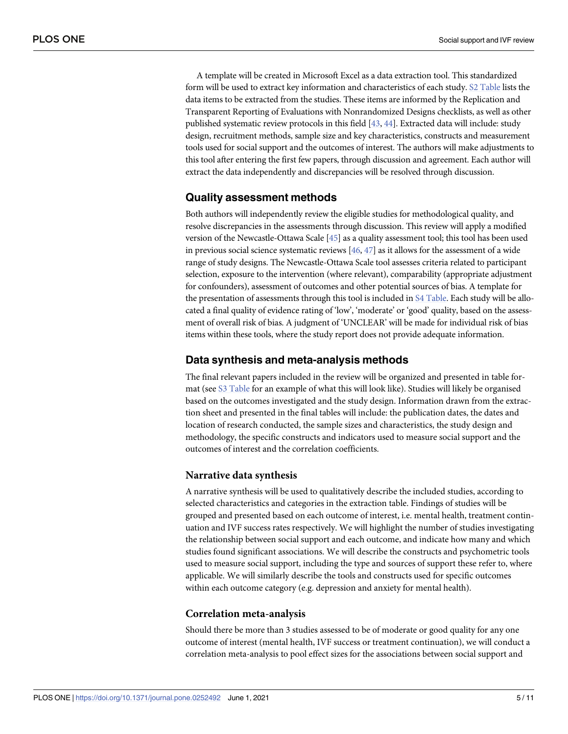<span id="page-4-0"></span>A template will be created in Microsoft Excel as a data extraction tool. This standardized form will be used to extract key information and characteristics of each study. S2 [Table](#page-7-0) lists the data items to be extracted from the studies. These items are informed by the Replication and Transparent Reporting of Evaluations with Nonrandomized Designs checklists, as well as other published systematic review protocols in this field [\[43,](#page-9-0) [44\]](#page-9-0). Extracted data will include: study design, recruitment methods, sample size and key characteristics, constructs and measurement tools used for social support and the outcomes of interest. The authors will make adjustments to this tool after entering the first few papers, through discussion and agreement. Each author will extract the data independently and discrepancies will be resolved through discussion.

# **Quality assessment methods**

Both authors will independently review the eligible studies for methodological quality, and resolve discrepancies in the assessments through discussion. This review will apply a modified version of the Newcastle-Ottawa Scale [\[45](#page-9-0)] as a quality assessment tool; this tool has been used in previous social science systematic reviews  $[46, 47]$  $[46, 47]$  $[46, 47]$  $[46, 47]$  as it allows for the assessment of a wide range of study designs. The Newcastle-Ottawa Scale tool assesses criteria related to participant selection, exposure to the intervention (where relevant), comparability (appropriate adjustment for confounders), assessment of outcomes and other potential sources of bias. A template for the presentation of assessments through this tool is included in S4 [Table](#page-7-0). Each study will be allocated a final quality of evidence rating of 'low', 'moderate' or 'good' quality, based on the assessment of overall risk of bias. A judgment of 'UNCLEAR' will be made for individual risk of bias items within these tools, where the study report does not provide adequate information.

# **Data synthesis and meta-analysis methods**

The final relevant papers included in the review will be organized and presented in table format (see S3 [Table](#page-7-0) for an example of what this will look like). Studies will likely be organised based on the outcomes investigated and the study design. Information drawn from the extraction sheet and presented in the final tables will include: the publication dates, the dates and location of research conducted, the sample sizes and characteristics, the study design and methodology, the specific constructs and indicators used to measure social support and the outcomes of interest and the correlation coefficients.

#### **Narrative data synthesis**

A narrative synthesis will be used to qualitatively describe the included studies, according to selected characteristics and categories in the extraction table. Findings of studies will be grouped and presented based on each outcome of interest, i.e. mental health, treatment continuation and IVF success rates respectively. We will highlight the number of studies investigating the relationship between social support and each outcome, and indicate how many and which studies found significant associations. We will describe the constructs and psychometric tools used to measure social support, including the type and sources of support these refer to, where applicable. We will similarly describe the tools and constructs used for specific outcomes within each outcome category (e.g. depression and anxiety for mental health).

#### **Correlation meta-analysis**

Should there be more than 3 studies assessed to be of moderate or good quality for any one outcome of interest (mental health, IVF success or treatment continuation), we will conduct a correlation meta-analysis to pool effect sizes for the associations between social support and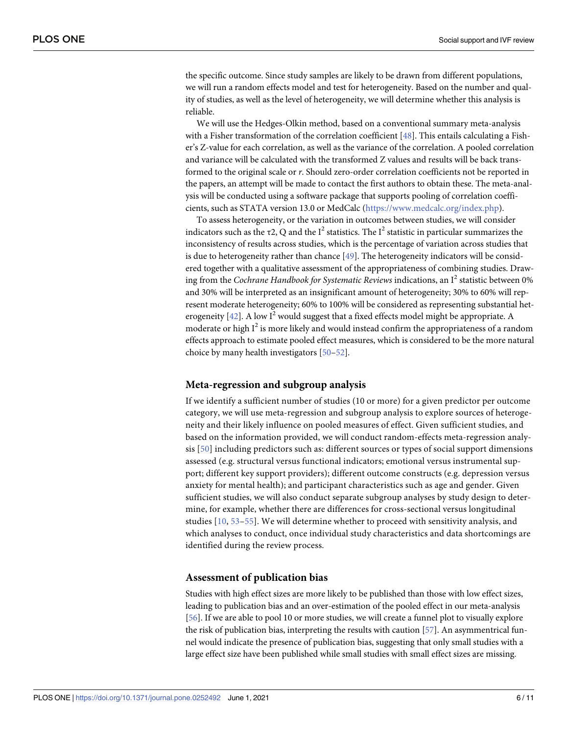<span id="page-5-0"></span>the specific outcome. Since study samples are likely to be drawn from different populations, we will run a random effects model and test for heterogeneity. Based on the number and quality of studies, as well as the level of heterogeneity, we will determine whether this analysis is reliable.

We will use the Hedges-Olkin method, based on a conventional summary meta-analysis with a Fisher transformation of the correlation coefficient [\[48\]](#page-9-0). This entails calculating a Fisher's Z-value for each correlation, as well as the variance of the correlation. A pooled correlation and variance will be calculated with the transformed Z values and results will be back transformed to the original scale or *r*. Should zero-order correlation coefficients not be reported in the papers, an attempt will be made to contact the first authors to obtain these. The meta-analysis will be conducted using a software package that supports pooling of correlation coefficients, such as STATA version 13.0 or MedCalc [\(https://www.medcalc.org/index.php\)](https://www.researchgate.net/deref/https://www.medcalc.org/index.php).

To assess heterogeneity, or the variation in outcomes between studies, we will consider indicators such as the  $\tau$ 2, Q and the I<sup>2</sup> statistics. The I<sup>2</sup> statistic in particular summarizes the inconsistency of results across studies, which is the percentage of variation across studies that is due to heterogeneity rather than chance [\[49\]](#page-9-0). The heterogeneity indicators will be considered together with a qualitative assessment of the appropriateness of combining studies. Drawing from the *Cochrane Handbook for Systematic Reviews* indications, an I <sup>2</sup> statistic between 0% and 30% will be interpreted as an insignificant amount of heterogeneity; 30% to 60% will represent moderate heterogeneity; 60% to 100% will be considered as representing substantial heterogeneity  $[42]$ . A low  $I<sup>2</sup>$  would suggest that a fixed effects model might be appropriate. A moderate or high  $I^2$  is more likely and would instead confirm the appropriateness of a random effects approach to estimate pooled effect measures, which is considered to be the more natural choice by many health investigators [\[50–52\]](#page-9-0).

#### **Meta-regression and subgroup analysis**

If we identify a sufficient number of studies (10 or more) for a given predictor per outcome category, we will use meta-regression and subgroup analysis to explore sources of heterogeneity and their likely influence on pooled measures of effect. Given sufficient studies, and based on the information provided, we will conduct random-effects meta-regression analysis [[50\]](#page-9-0) including predictors such as: different sources or types of social support dimensions assessed (e.g. structural versus functional indicators; emotional versus instrumental support; different key support providers); different outcome constructs (e.g. depression versus anxiety for mental health); and participant characteristics such as age and gender. Given sufficient studies, we will also conduct separate subgroup analyses by study design to determine, for example, whether there are differences for cross-sectional versus longitudinal studies [\[10](#page-7-0), [53–](#page-9-0)[55\]](#page-10-0). We will determine whether to proceed with sensitivity analysis, and which analyses to conduct, once individual study characteristics and data shortcomings are identified during the review process.

#### **Assessment of publication bias**

Studies with high effect sizes are more likely to be published than those with low effect sizes, leading to publication bias and an over-estimation of the pooled effect in our meta-analysis [\[56\]](#page-10-0). If we are able to pool 10 or more studies, we will create a funnel plot to visually explore the risk of publication bias, interpreting the results with caution [\[57\]](#page-10-0). An asymmentrical funnel would indicate the presence of publication bias, suggesting that only small studies with a large effect size have been published while small studies with small effect sizes are missing.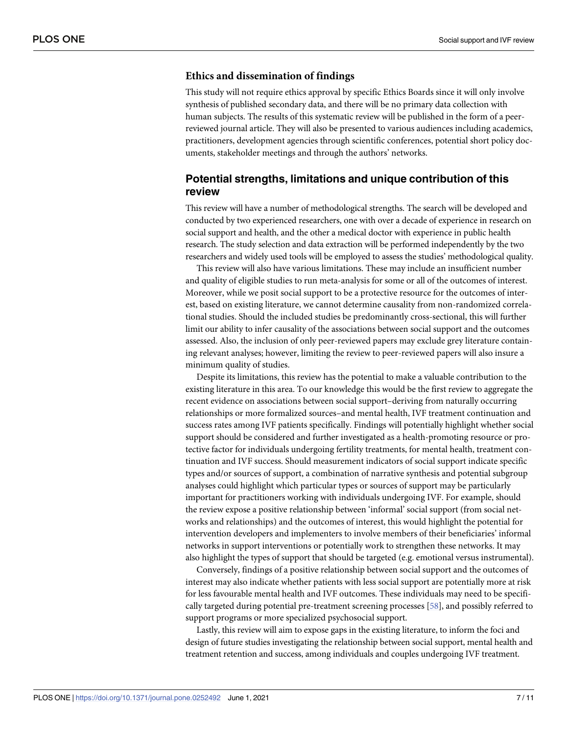#### <span id="page-6-0"></span>**Ethics and dissemination of findings**

This study will not require ethics approval by specific Ethics Boards since it will only involve synthesis of published secondary data, and there will be no primary data collection with human subjects. The results of this systematic review will be published in the form of a peerreviewed journal article. They will also be presented to various audiences including academics, practitioners, development agencies through scientific conferences, potential short policy documents, stakeholder meetings and through the authors' networks.

# **Potential strengths, limitations and unique contribution of this review**

This review will have a number of methodological strengths. The search will be developed and conducted by two experienced researchers, one with over a decade of experience in research on social support and health, and the other a medical doctor with experience in public health research. The study selection and data extraction will be performed independently by the two researchers and widely used tools will be employed to assess the studies' methodological quality.

This review will also have various limitations. These may include an insufficient number and quality of eligible studies to run meta-analysis for some or all of the outcomes of interest. Moreover, while we posit social support to be a protective resource for the outcomes of interest, based on existing literature, we cannot determine causality from non-randomized correlational studies. Should the included studies be predominantly cross-sectional, this will further limit our ability to infer causality of the associations between social support and the outcomes assessed. Also, the inclusion of only peer-reviewed papers may exclude grey literature containing relevant analyses; however, limiting the review to peer-reviewed papers will also insure a minimum quality of studies.

Despite its limitations, this review has the potential to make a valuable contribution to the existing literature in this area. To our knowledge this would be the first review to aggregate the recent evidence on associations between social support–deriving from naturally occurring relationships or more formalized sources–and mental health, IVF treatment continuation and success rates among IVF patients specifically. Findings will potentially highlight whether social support should be considered and further investigated as a health-promoting resource or protective factor for individuals undergoing fertility treatments, for mental health, treatment continuation and IVF success. Should measurement indicators of social support indicate specific types and/or sources of support, a combination of narrative synthesis and potential subgroup analyses could highlight which particular types or sources of support may be particularly important for practitioners working with individuals undergoing IVF. For example, should the review expose a positive relationship between 'informal' social support (from social networks and relationships) and the outcomes of interest, this would highlight the potential for intervention developers and implementers to involve members of their beneficiaries' informal networks in support interventions or potentially work to strengthen these networks. It may also highlight the types of support that should be targeted (e.g. emotional versus instrumental).

Conversely, findings of a positive relationship between social support and the outcomes of interest may also indicate whether patients with less social support are potentially more at risk for less favourable mental health and IVF outcomes. These individuals may need to be specifically targeted during potential pre-treatment screening processes [\[58\]](#page-10-0), and possibly referred to support programs or more specialized psychosocial support.

Lastly, this review will aim to expose gaps in the existing literature, to inform the foci and design of future studies investigating the relationship between social support, mental health and treatment retention and success, among individuals and couples undergoing IVF treatment.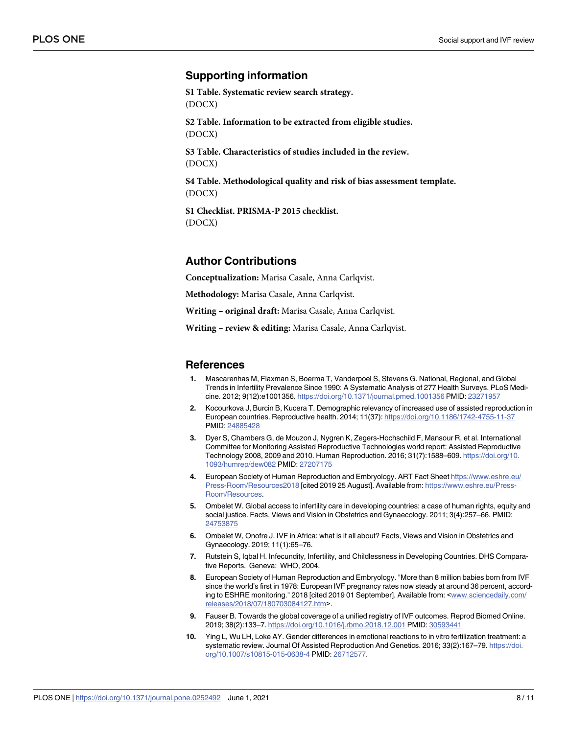# <span id="page-7-0"></span>**Supporting information**

**S1 [Table.](http://www.plosone.org/article/fetchSingleRepresentation.action?uri=info:doi/10.1371/journal.pone.0252492.s001) Systematic review search strategy.** (DOCX)

**S2 [Table.](http://www.plosone.org/article/fetchSingleRepresentation.action?uri=info:doi/10.1371/journal.pone.0252492.s002) Information to be extracted from eligible studies.** (DOCX)

**S3 [Table.](http://www.plosone.org/article/fetchSingleRepresentation.action?uri=info:doi/10.1371/journal.pone.0252492.s003) Characteristics of studies included in the review.** (DOCX)

**S4 [Table.](http://www.plosone.org/article/fetchSingleRepresentation.action?uri=info:doi/10.1371/journal.pone.0252492.s004) Methodological quality and risk of bias assessment template.** (DOCX)

**S1 [Checklist.](http://www.plosone.org/article/fetchSingleRepresentation.action?uri=info:doi/10.1371/journal.pone.0252492.s005) PRISMA-P 2015 checklist.** (DOCX)

# **Author Contributions**

**Conceptualization:** Marisa Casale, Anna Carlqvist.

**Methodology:** Marisa Casale, Anna Carlqvist.

**Writing – original draft:** Marisa Casale, Anna Carlqvist.

**Writing – review & editing:** Marisa Casale, Anna Carlqvist.

#### **References**

- **[1](#page-1-0).** Mascarenhas M, Flaxman S, Boerma T, Vanderpoel S, Stevens G. National, Regional, and Global Trends in Infertility Prevalence Since 1990: A Systematic Analysis of 277 Health Surveys. PLoS Medicine. 2012; 9(12):e1001356. <https://doi.org/10.1371/journal.pmed.1001356> PMID: [23271957](http://www.ncbi.nlm.nih.gov/pubmed/23271957)
- **[2](#page-1-0).** Kocourkova J, Burcin B, Kucera T. Demographic relevancy of increased use of assisted reproduction in European countries. Reproductive health. 2014; 11(37): <https://doi.org/10.1186/1742-4755-11-37> PMID: [24885428](http://www.ncbi.nlm.nih.gov/pubmed/24885428)
- **[3](#page-1-0).** Dyer S, Chambers G, de Mouzon J, Nygren K, Zegers-Hochschild F, Mansour R, et al. International Committee for Monitoring Assisted Reproductive Technologies world report: Assisted Reproductive Technology 2008, 2009 and 2010. Human Reproduction. 2016; 31(7):1588–609. [https://doi.org/10.](https://doi.org/10.1093/humrep/dew082) [1093/humrep/dew082](https://doi.org/10.1093/humrep/dew082) PMID: [27207175](http://www.ncbi.nlm.nih.gov/pubmed/27207175)
- **[4](#page-1-0).** European Society of Human Reproduction and Embryology. ART Fact Sheet [https://www.eshre.eu/](https://www.eshre.eu/Press-Room/Resources2018) [Press-Room/Resources2018](https://www.eshre.eu/Press-Room/Resources2018) [cited 2019 25 August]. Available from: [https://www.eshre.eu/Press-](https://www.eshre.eu/Press-Room/Resources)[Room/Resources](https://www.eshre.eu/Press-Room/Resources).
- **[5](#page-1-0).** Ombelet W. Global access to infertility care in developing countries: a case of human rights, equity and social justice. Facts, Views and Vision in Obstetrics and Gynaecology. 2011; 3(4):257–66. PMID: [24753875](http://www.ncbi.nlm.nih.gov/pubmed/24753875)
- **6.** Ombelet W, Onofre J. IVF in Africa: what is it all about? Facts, Views and Vision in Obstetrics and Gynaecology. 2019; 11(1):65–76.
- **[7](#page-1-0).** Rutstein S, Iqbal H. Infecundity, Infertility, and Childlessness in Developing Countries. DHS Comparative Reports. Geneva: WHO, 2004.
- **[8](#page-1-0).** European Society of Human Reproduction and Embryology. "More than 8 million babies born from IVF since the world's first in 1978: European IVF pregnancy rates now steady at around 36 percent, according to ESHRE monitoring." 2018 [cited 2019 01 September]. Available from: <[www.sciencedaily.com/](http://www.sciencedaily.com/releases/2018/07/180703084127.htm) [releases/2018/07/180703084127.htm](http://www.sciencedaily.com/releases/2018/07/180703084127.htm)>.
- **[9](#page-1-0).** Fauser B. Towards the global coverage of a unified registry of IVF outcomes. Reprod Biomed Online. 2019; 38(2):133–7. <https://doi.org/10.1016/j.rbmo.2018.12.001> PMID: [30593441](http://www.ncbi.nlm.nih.gov/pubmed/30593441)
- **[10](#page-1-0).** Ying L, Wu LH, Loke AY. Gender differences in emotional reactions to in vitro fertilization treatment: a systematic review. Journal Of Assisted Reproduction And Genetics. 2016; 33(2):167–79. [https://doi.](https://doi.org/10.1007/s10815-015-0638-4) [org/10.1007/s10815-015-0638-4](https://doi.org/10.1007/s10815-015-0638-4) PMID: [26712577.](http://www.ncbi.nlm.nih.gov/pubmed/26712577)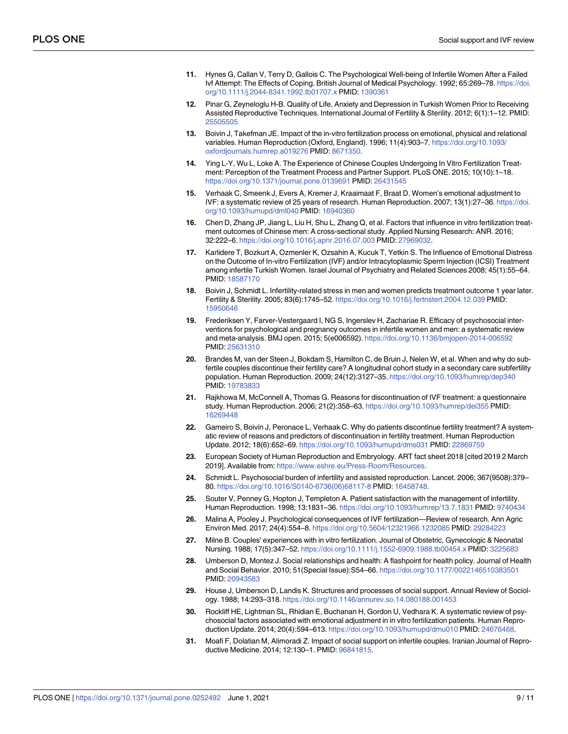- <span id="page-8-0"></span>**[11](#page-1-0).** Hynes G, Callan V, Terry D, Gallois C. The Psychological Well-being of Infertile Women After a Failed Ivf Attempt: The Effects of Coping. British Journal of Medical Psychology. 1992; 65:269–78. [https://doi.](https://doi.org/10.1111/j.2044-8341.1992.tb01707.x) [org/10.1111/j.2044-8341.1992.tb01707.x](https://doi.org/10.1111/j.2044-8341.1992.tb01707.x) PMID: [1390361](http://www.ncbi.nlm.nih.gov/pubmed/1390361)
- **[12](#page-1-0).** Pinar G, Zeyneloglu H-B. Quality of Life, Anxiety and Depression in Turkish Women Prior to Receiving Assisted Reproductive Techniques. International Journal of Fertility & Sterility. 2012; 6(1):1–12. PMID: [25505505](http://www.ncbi.nlm.nih.gov/pubmed/25505505)
- **[13](#page-1-0).** Boivin J, Takefman JE. Impact of the in-vitro fertilization process on emotional, physical and relational variables. Human Reproduction (Oxford, England). 1996; 11(4):903–7. [https://doi.org/10.1093/](https://doi.org/10.1093/oxfordjournals.humrep.a019276) [oxfordjournals.humrep.a019276](https://doi.org/10.1093/oxfordjournals.humrep.a019276) PMID: [8671350](http://www.ncbi.nlm.nih.gov/pubmed/8671350).
- **[14](#page-1-0).** Ying L-Y, Wu L, Loke A. The Experience of Chinese Couples Undergoing In Vitro Fertilization Treatment: Perception of the Treatment Process and Partner Support. PLoS ONE. 2015; 10(10):1–18. <https://doi.org/10.1371/journal.pone.0139691> PMID: [26431545](http://www.ncbi.nlm.nih.gov/pubmed/26431545)
- **[15](#page-1-0).** Verhaak C, Smeenk J, Evers A, Kremer J, Kraaimaat F, Braat D. Women's emotional adjustment to IVF: a systematic review of 25 years of research. Human Reproduction. 2007; 13(1):27–36. [https://doi.](https://doi.org/10.1093/humupd/dml040) [org/10.1093/humupd/dml040](https://doi.org/10.1093/humupd/dml040) PMID: [16940360](http://www.ncbi.nlm.nih.gov/pubmed/16940360)
- **[16](#page-1-0).** Chen D, Zhang JP, Jiang L, Liu H, Shu L, Zhang Q, et al. Factors that influence in vitro fertilization treatment outcomes of Chinese men: A cross-sectional study. Applied Nursing Research: ANR. 2016; 32:222–6. <https://doi.org/10.1016/j.apnr.2016.07.003> PMID: [27969032.](http://www.ncbi.nlm.nih.gov/pubmed/27969032)
- **[17](#page-1-0).** Karlidere T, Bozkurt A, Ozmenler K, Ozsahin A, Kucuk T, Yetkin S. The Influence of Emotional Distress on the Outcome of In-vitro Fertilization (IVF) and/or Intracytoplasmic Sperm Injection (ICSI) Treatment among infertile Turkish Women. Israel Journal of Psychiatry and Related Sciences 2008; 45(1):55–64. PMID: [18587170](http://www.ncbi.nlm.nih.gov/pubmed/18587170)
- **18.** Boivin J, Schmidt L. Infertility-related stress in men and women predicts treatment outcome 1 year later. Fertility & Sterility. 2005; 83(6):1745–52. <https://doi.org/10.1016/j.fertnstert.2004.12.039> PMID: [15950646](http://www.ncbi.nlm.nih.gov/pubmed/15950646)
- **[19](#page-1-0).** Frederiksen Y, Farver-Vestergaard I, NG S, Ingerslev H, Zachariae R. Efficacy of psychosocial interventions for psychological and pregnancy outcomes in infertile women and men: a systematic review and meta-analysis. BMJ open. 2015; 5(e006592). <https://doi.org/10.1136/bmjopen-2014-006592> PMID: [25631310](http://www.ncbi.nlm.nih.gov/pubmed/25631310)
- **[20](#page-1-0).** Brandes M, van der Steen J, Bokdam S, Hamilton C, de Bruin J, Nelen W, et al. When and why do subfertile couples discontinue their fertility care? A longitudinal cohort study in a secondary care subfertility population. Human Reproduction. 2009; 24(12):3127–35. <https://doi.org/10.1093/humrep/dep340> PMID: [19783833](http://www.ncbi.nlm.nih.gov/pubmed/19783833)
- **21.** Rajkhowa M, McConnell A, Thomas G. Reasons for discontinuation of IVF treatment: a questionnaire study. Human Reproduction. 2006; 21(2):358–63. <https://doi.org/10.1093/humrep/dei355> PMID: [16269448](http://www.ncbi.nlm.nih.gov/pubmed/16269448)
- **[22](#page-1-0).** Gameiro S, Boivin J, Peronace L, Verhaak C. Why do patients discontinue fertility treatment? A systematic review of reasons and predictors of discontinuation in fertility treatment. Human Reproduction Update. 2012; 18(6):652–69. <https://doi.org/10.1093/humupd/dms031> PMID: [22869759](http://www.ncbi.nlm.nih.gov/pubmed/22869759)
- **[23](#page-1-0).** European Society of Human Reproduction and Embryology. ART fact sheet 2018 [cited 2019 2 March 2019]. Available from: [https://www.eshre.eu/Press-Room/Resources.](https://www.eshre.eu/Press-Room/Resources)
- **[24](#page-1-0).** Schmidt L. Psychosocial burden of infertility and assisted reproduction. Lancet. 2006; 367(9508):379– 80. [https://doi.org/10.1016/S0140-6736\(06\)68117-8](https://doi.org/10.1016/S0140-6736(06)68117-8) PMID: [16458748.](http://www.ncbi.nlm.nih.gov/pubmed/16458748)
- **25.** Souter V, Penney G, Hopton J, Templeton A. Patient satisfaction with the management of infertility. Human Reproduction. 1998; 13:1831–36. <https://doi.org/10.1093/humrep/13.7.1831> PMID: [9740434](http://www.ncbi.nlm.nih.gov/pubmed/9740434)
- **[26](#page-1-0).** Malina A, Pooley J. Psychological consequences of IVF fertilization—Review of research. Ann Agric Environ Med. 2017; 24(4):554–8. <https://doi.org/10.5604/12321966.1232085> PMID: [29284223](http://www.ncbi.nlm.nih.gov/pubmed/29284223)
- **[27](#page-1-0).** Milne B. Couples' experiences with in vitro fertilization. Journal of Obstetric, Gynecologic & Neonatal Nursing. 1988; 17(5):347–52. <https://doi.org/10.1111/j.1552-6909.1988.tb00454.x> PMID: [3225683](http://www.ncbi.nlm.nih.gov/pubmed/3225683)
- **[28](#page-1-0).** Umberson D, Montez J. Social relationships and health: A flashpoint for health policy. Journal of Health and Social Behavior. 2010; 51(Special Issue):S54–66. <https://doi.org/10.1177/0022146510383501> PMID: [20943583](http://www.ncbi.nlm.nih.gov/pubmed/20943583)
- **[29](#page-1-0).** House J, Umberson D, Landis K. Structures and processes of social support. Annual Review of Sociology. 1988; 14:293–318. <https://doi.org/10.1146/annurev.so.14.080188.001453>
- **[30](#page-1-0).** Rockliff HE, Lightman SL, Rhidian E, Buchanan H, Gordon U, Vedhara K. A systematic review of psychosocial factors associated with emotional adjustment in in vitro fertilization patients. Human Reproduction Update. 2014; 20(4):594–613. <https://doi.org/10.1093/humupd/dmu010> PMID: [24676468](http://www.ncbi.nlm.nih.gov/pubmed/24676468).
- **[31](#page-1-0).** Moafi F, Dolatian M, Alimoradi Z. Impact of social support on infertile couples. Iranian Journal of Reproductive Medicine. 2014; 12:130–1. PMID: [96841815](http://www.ncbi.nlm.nih.gov/pubmed/96841815).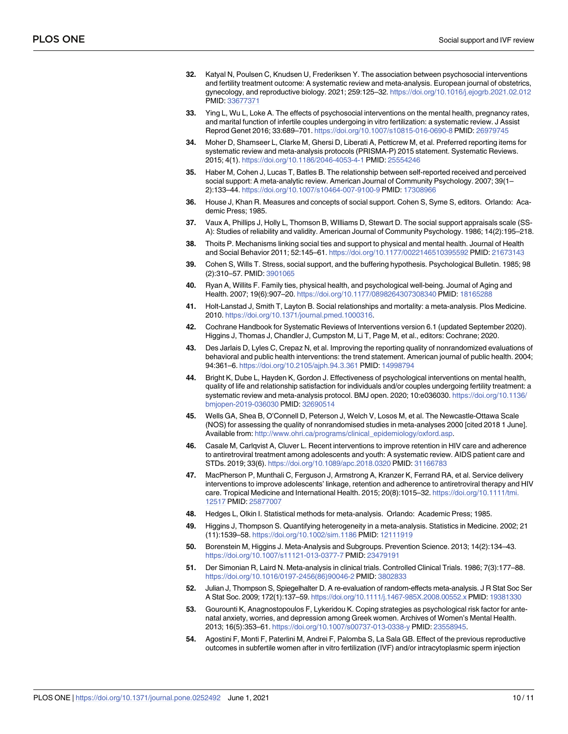- <span id="page-9-0"></span>**[32](#page-1-0).** Katyal N, Poulsen C, Knudsen U, Frederiksen Y. The association between psychosocial interventions and fertility treatment outcome: A systematic review and meta-analysis. European journal of obstetrics, gynecology, and reproductive biology. 2021; 259:125–32. <https://doi.org/10.1016/j.ejogrb.2021.02.012> PMID: [33677371](http://www.ncbi.nlm.nih.gov/pubmed/33677371)
- **[33](#page-1-0).** Ying L, Wu L, Loke A. The effects of psychosocial interventions on the mental health, pregnancy rates, and marital function of infertile couples undergoing in vitro fertilization: a systematic review. J Assist Reprod Genet 2016; 33:689–701. <https://doi.org/10.1007/s10815-016-0690-8> PMID: [26979745](http://www.ncbi.nlm.nih.gov/pubmed/26979745)
- **[34](#page-2-0).** Moher D, Shamseer L, Clarke M, Ghersi D, Liberati A, Petticrew M, et al. Preferred reporting items for systematic review and meta-analysis protocols (PRISMA-P) 2015 statement. Systematic Reviews. 2015; 4(1). <https://doi.org/10.1186/2046-4053-4-1> PMID: [25554246](http://www.ncbi.nlm.nih.gov/pubmed/25554246)
- **[35](#page-2-0).** Haber M, Cohen J, Lucas T, Batles B. The relationship between self-reported received and perceived social support: A meta-analytic review. American Journal of Community Psychology. 2007; 39(1– 2):133–44. <https://doi.org/10.1007/s10464-007-9100-9> PMID: [17308966](http://www.ncbi.nlm.nih.gov/pubmed/17308966)
- **[36](#page-2-0).** House J, Khan R. Measures and concepts of social support. Cohen S, Syme S, editors. Orlando: Academic Press; 1985.
- **[37](#page-2-0).** Vaux A, Phillips J, Holly L, Thomson B, WIlliams D, Stewart D. The social support appraisals scale (SS-A): Studies of reliability and validity. American Journal of Community Psychology. 1986; 14(2):195–218.
- **[38](#page-2-0).** Thoits P. Mechanisms linking social ties and support to physical and mental health. Journal of Health and Social Behavior 2011; 52:145–61. <https://doi.org/10.1177/0022146510395592> PMID: [21673143](http://www.ncbi.nlm.nih.gov/pubmed/21673143)
- **[39](#page-2-0).** Cohen S, Wills T. Stress, social support, and the buffering hypothesis. Psychological Bulletin. 1985; 98 (2):310–57. PMID: [3901065](http://www.ncbi.nlm.nih.gov/pubmed/3901065)
- **[40](#page-2-0).** Ryan A, Willits F. Family ties, physical health, and psychological well-being. Journal of Aging and Health. 2007; 19(6):907–20. <https://doi.org/10.1177/0898264307308340> PMID: [18165288](http://www.ncbi.nlm.nih.gov/pubmed/18165288)
- **[41](#page-2-0).** Holt-Lanstad J, Smith T, Layton B. Social relationships and mortality: a meta-analysis. Plos Medicine. 2010. <https://doi.org/10.1371/journal.pmed.1000316>.
- **[42](#page-3-0).** Cochrane Handbook for Systematic Reviews of Interventions version 6.1 (updated September 2020). Higgins J, Thomas J, Chandler J, Cumpston M, Li T, Page M, et al., editors: Cochrane; 2020.
- **[43](#page-4-0).** Des Jarlais D, Lyles C, Crepaz N, et al. Improving the reporting quality of nonrandomized evaluations of behavioral and public health interventions: the trend statement. American journal of public health. 2004; 94:361–6. <https://doi.org/10.2105/ajph.94.3.361> PMID: [14998794](http://www.ncbi.nlm.nih.gov/pubmed/14998794)
- **[44](#page-4-0).** Bright K, Dube L, Hayden K, Gordon J. Effectiveness of psychological interventions on mental health, quality of life and relationship satisfaction for individuals and/or couples undergoing fertility treatment: a systematic review and meta-analysis protocol. BMJ open. 2020; 10:e036030. [https://doi.org/10.1136/](https://doi.org/10.1136/bmjopen-2019-036030) [bmjopen-2019-036030](https://doi.org/10.1136/bmjopen-2019-036030) PMID: [32690514](http://www.ncbi.nlm.nih.gov/pubmed/32690514)
- **[45](#page-4-0).** Wells GA, Shea B, O'Connell D, Peterson J, Welch V, Losos M, et al. The Newcastle-Ottawa Scale (NOS) for assessing the quality of nonrandomised studies in meta-analyses 2000 [cited 2018 1 June]. Available from: [http://www.ohri.ca/programs/clinical\\_epidemiology/oxford.asp.](http://www.ohri.ca/programs/clinical_epidemiology/oxford.asp)
- **[46](#page-4-0).** Casale M, Carlqvist A, Cluver L. Recent interventions to improve retention in HIV care and adherence to antiretroviral treatment among adolescents and youth: A systematic review. AIDS patient care and STDs. 2019; 33(6). <https://doi.org/10.1089/apc.2018.0320> PMID: [31166783](http://www.ncbi.nlm.nih.gov/pubmed/31166783)
- **[47](#page-4-0).** MacPherson P, Munthali C, Ferguson J, Armstrong A, Kranzer K, Ferrand RA, et al. Service delivery interventions to improve adolescents' linkage, retention and adherence to antiretroviral therapy and HIV care. Tropical Medicine and International Health. 2015; 20(8):1015–32. [https://doi.org/10.1111/tmi.](https://doi.org/10.1111/tmi.12517) [12517](https://doi.org/10.1111/tmi.12517) PMID: [25877007](http://www.ncbi.nlm.nih.gov/pubmed/25877007)
- **[48](#page-5-0).** Hedges L, Olkin I. Statistical methods for meta-analysis. Orlando: Academic Press; 1985.
- **[49](#page-5-0).** Higgins J, Thompson S. Quantifying heterogeneity in a meta-analysis. Statistics in Medicine. 2002; 21 (11):1539–58. <https://doi.org/10.1002/sim.1186> PMID: [12111919](http://www.ncbi.nlm.nih.gov/pubmed/12111919)
- **[50](#page-5-0).** Borenstein M, Higgins J. Meta-Analysis and Subgroups. Prevention Science. 2013; 14(2):134–43. <https://doi.org/10.1007/s11121-013-0377-7> PMID: [23479191](http://www.ncbi.nlm.nih.gov/pubmed/23479191)
- **51.** Der Simonian R, Laird N. Meta-analysis in clinical trials. Controlled Clinical Trials. 1986; 7(3):177–88. [https://doi.org/10.1016/0197-2456\(86\)90046-2](https://doi.org/10.1016/0197-2456(86)90046-2) PMID: [3802833](http://www.ncbi.nlm.nih.gov/pubmed/3802833)
- **[52](#page-5-0).** Julian J, Thompson S, Spiegelhalter D. A re-evaluation of random-effects meta-analysis. J R Stat Soc Ser A Stat Soc. 2009; 172(1):137–59. <https://doi.org/10.1111/j.1467-985X.2008.00552.x> PMID: [19381330](http://www.ncbi.nlm.nih.gov/pubmed/19381330)
- **[53](#page-5-0).** Gourounti K, Anagnostopoulos F, Lykeridou K. Coping strategies as psychological risk factor for antenatal anxiety, worries, and depression among Greek women. Archives of Women's Mental Health. 2013; 16(5):353–61. <https://doi.org/10.1007/s00737-013-0338-y> PMID: [23558945.](http://www.ncbi.nlm.nih.gov/pubmed/23558945)
- **54.** Agostini F, Monti F, Paterlini M, Andrei F, Palomba S, La Sala GB. Effect of the previous reproductive outcomes in subfertile women after in vitro fertilization (IVF) and/or intracytoplasmic sperm injection